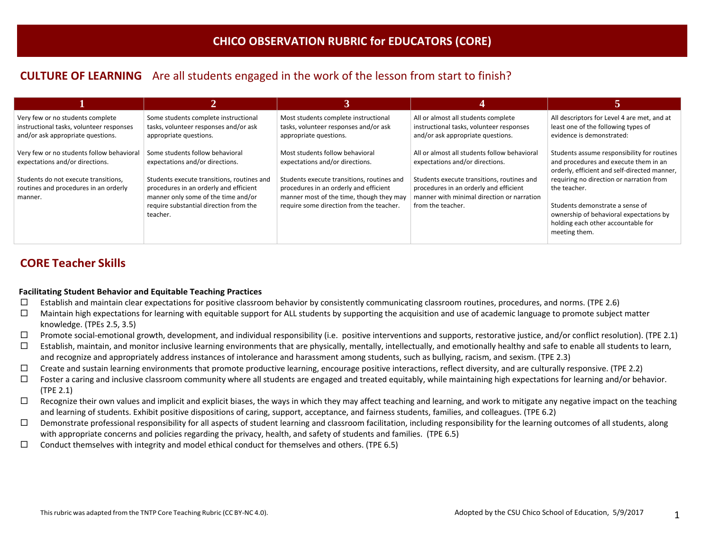## **CULTURE OF LEARNING** Are all students engaged in the work of the lesson from start to finish?

| Very few or no students complete<br>instructional tasks, volunteer responses<br>and/or ask appropriate questions.                                                        | Some students complete instructional<br>tasks, volunteer responses and/or ask<br>appropriate questions.                                                                                                                                                 | Most students complete instructional<br>tasks, volunteer responses and/or ask<br>appropriate questions.                                                                                                                                            | All or almost all students complete<br>instructional tasks, volunteer responses<br>and/or ask appropriate questions.                                                                                                                       | All descriptors for Level 4 are met, and at<br>least one of the following types of<br>evidence is demonstrated:                                                                                                                                                                                                                       |
|--------------------------------------------------------------------------------------------------------------------------------------------------------------------------|---------------------------------------------------------------------------------------------------------------------------------------------------------------------------------------------------------------------------------------------------------|----------------------------------------------------------------------------------------------------------------------------------------------------------------------------------------------------------------------------------------------------|--------------------------------------------------------------------------------------------------------------------------------------------------------------------------------------------------------------------------------------------|---------------------------------------------------------------------------------------------------------------------------------------------------------------------------------------------------------------------------------------------------------------------------------------------------------------------------------------|
| Very few or no students follow behavioral<br>expectations and/or directions.<br>Students do not execute transitions,<br>routines and procedures in an orderly<br>manner. | Some students follow behavioral<br>expectations and/or directions.<br>Students execute transitions, routines and<br>procedures in an orderly and efficient<br>manner only some of the time and/or<br>require substantial direction from the<br>teacher. | Most students follow behavioral<br>expectations and/or directions.<br>Students execute transitions, routines and<br>procedures in an orderly and efficient<br>manner most of the time, though they may<br>require some direction from the teacher. | All or almost all students follow behavioral<br>expectations and/or directions.<br>Students execute transitions, routines and<br>procedures in an orderly and efficient<br>manner with minimal direction or narration<br>from the teacher. | Students assume responsibility for routines<br>and procedures and execute them in an<br>orderly, efficient and self-directed manner,<br>requiring no direction or narration from<br>the teacher.<br>Students demonstrate a sense of<br>ownership of behavioral expectations by<br>holding each other accountable for<br>meeting them. |

## **CORE Teacher Skills**

### **Facilitating Student Behavior and Equitable Teaching Practices**

- $\Box$  Establish and maintain clear expectations for positive classroom behavior by consistently communicating classroom routines, procedures, and norms. (TPE 2.6)
- $\Box$  Maintain high expectations for learning with equitable support for ALL students by supporting the acquisition and use of academic language to promote subject matter knowledge. (TPEs 2.5, 3.5)
- $\Box$  Promote social-emotional growth, development, and individual responsibility (i.e. positive interventions and supports, restorative justice, and/or conflict resolution). (TPE 2.1)
- $\Box$  Establish, maintain, and monitor inclusive learning environments that are physically, mentally, intellectually, and emotionally healthy and safe to enable all students to learn, and recognize and appropriately address instances of intolerance and harassment among students, such as bullying, racism, and sexism. (TPE 2.3)
- $\Box$  Create and sustain learning environments that promote productive learning, encourage positive interactions, reflect diversity, and are culturally responsive. (TPE 2.2)
- $\Box$  Foster a caring and inclusive classroom community where all students are engaged and treated equitably, while maintaining high expectations for learning and/or behavior. (TPE 2.1)
- $\Box$  Recognize their own values and implicit and explicit biases, the ways in which they may affect teaching and learning, and work to mitigate any negative impact on the teaching and learning of students. Exhibit positive dispositions of caring, support, acceptance, and fairness students, families, and colleagues. (TPE 6.2)
- $\Box$  Demonstrate professional responsibility for all aspects of student learning and classroom facilitation, including responsibility for the learning outcomes of all students, along with appropriate concerns and policies regarding the privacy, health, and safety of students and families. (TPE 6.5)
- $\Box$  Conduct themselves with integrity and model ethical conduct for themselves and others. (TPE 6.5)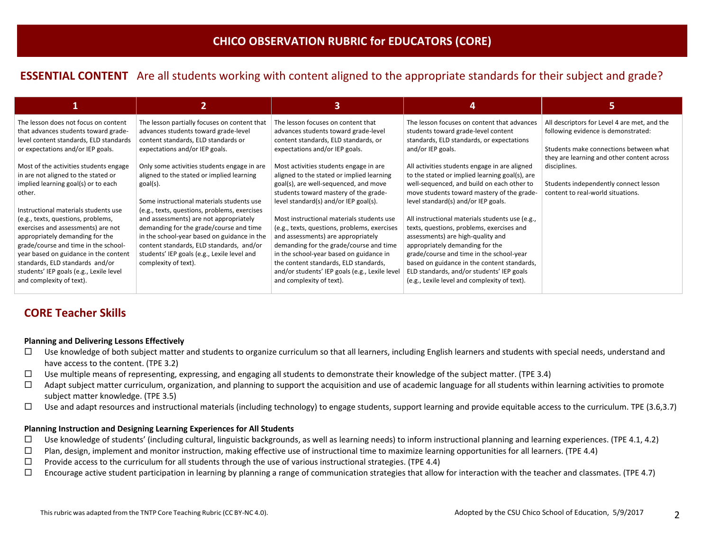# **ESSENTIAL CONTENT** Are all students working with content aligned to the appropriate standards for their subject and grade?

|                                                                                                                                                                                                                                                                                                                                                                                                                                                                                  |                                                                                                                                                                                                                                                                                                                                                                                                                                                          |                                                                                                                                                                                                                                                                                                                                                                                                                                                                                                                                                                |                                                                                                                                                                                                                                                                                                                                                                                                                                                                                                                                                                                                    | כ                                                                                                                                                                           |
|----------------------------------------------------------------------------------------------------------------------------------------------------------------------------------------------------------------------------------------------------------------------------------------------------------------------------------------------------------------------------------------------------------------------------------------------------------------------------------|----------------------------------------------------------------------------------------------------------------------------------------------------------------------------------------------------------------------------------------------------------------------------------------------------------------------------------------------------------------------------------------------------------------------------------------------------------|----------------------------------------------------------------------------------------------------------------------------------------------------------------------------------------------------------------------------------------------------------------------------------------------------------------------------------------------------------------------------------------------------------------------------------------------------------------------------------------------------------------------------------------------------------------|----------------------------------------------------------------------------------------------------------------------------------------------------------------------------------------------------------------------------------------------------------------------------------------------------------------------------------------------------------------------------------------------------------------------------------------------------------------------------------------------------------------------------------------------------------------------------------------------------|-----------------------------------------------------------------------------------------------------------------------------------------------------------------------------|
| The lesson does not focus on content<br>that advances students toward grade-<br>level content standards, ELD standards<br>or expectations and/or IEP goals.                                                                                                                                                                                                                                                                                                                      | The lesson partially focuses on content that<br>advances students toward grade-level<br>content standards, ELD standards or<br>expectations and/or IEP goals.                                                                                                                                                                                                                                                                                            | The lesson focuses on content that<br>advances students toward grade-level<br>content standards, ELD standards, or<br>expectations and/or IEP goals.                                                                                                                                                                                                                                                                                                                                                                                                           | The lesson focuses on content that advances<br>students toward grade-level content<br>standards, ELD standards, or expectations<br>and/or IEP goals.                                                                                                                                                                                                                                                                                                                                                                                                                                               | All descriptors for Level 4 are met, and the<br>following evidence is demonstrated:<br>Students make connections between what<br>they are learning and other content across |
| Most of the activities students engage<br>in are not aligned to the stated or<br>implied learning goal(s) or to each<br>other.<br>Instructional materials students use<br>(e.g., texts, questions, problems,<br>exercises and assessments) are not<br>appropriately demanding for the<br>grade/course and time in the school-<br>year based on guidance in the content<br>standards, ELD standards and/or<br>students' IEP goals (e.g., Lexile level<br>and complexity of text). | Only some activities students engage in are<br>aligned to the stated or implied learning<br>goal(s).<br>Some instructional materials students use<br>(e.g., texts, questions, problems, exercises<br>and assessments) are not appropriately<br>demanding for the grade/course and time<br>in the school-year based on guidance in the<br>content standards, ELD standards, and/or<br>students' IEP goals (e.g., Lexile level and<br>complexity of text). | Most activities students engage in are<br>aligned to the stated or implied learning<br>goal(s), are well-sequenced, and move<br>students toward mastery of the grade-<br>level standard(s) and/or IEP goal(s).<br>Most instructional materials students use<br>(e.g., texts, questions, problems, exercises<br>and assessments) are appropriately<br>demanding for the grade/course and time<br>in the school-year based on guidance in<br>the content standards, ELD standards,<br>and/or students' IEP goals (e.g., Lexile level<br>and complexity of text). | All activities students engage in are aligned<br>to the stated or implied learning goal(s), are<br>well-sequenced, and build on each other to<br>move students toward mastery of the grade-<br>level standard(s) and/or IEP goals.<br>All instructional materials students use (e.g.,<br>texts, questions, problems, exercises and<br>assessments) are high-quality and<br>appropriately demanding for the<br>grade/course and time in the school-year<br>based on guidance in the content standards,<br>ELD standards, and/or students' IEP goals<br>(e.g., Lexile level and complexity of text). | disciplines.<br>Students independently connect lesson<br>content to real-world situations.                                                                                  |

## **CORE Teacher Skills**

### **Planning and Delivering Lessons Effectively**

- $\Box$  Use knowledge of both subject matter and students to organize curriculum so that all learners, including English learners and students with special needs, understand and have access to the content. (TPE 3.2)
- $\Box$  Use multiple means of representing, expressing, and engaging all students to demonstrate their knowledge of the subject matter. (TPE 3.4)
- $\Box$  Adapt subject matter curriculum, organization, and planning to support the acquisition and use of academic language for all students within learning activities to promote subject matter knowledge. (TPE 3.5)
- $\Box$  Use and adapt resources and instructional materials (including technology) to engage students, support learning and provide equitable access to the curriculum. TPE (3.6,3.7)

### **Planning Instruction and Designing Learning Experiences for All Students**

- $\square$  Use knowledge of students' (including cultural, linguistic backgrounds, as well as learning needs) to inform instructional planning and learning experiences. (TPE 4.1, 4.2)
- $\Box$  Plan, design, implement and monitor instruction, making effective use of instructional time to maximize learning opportunities for all learners. (TPE 4.4)
- $\Box$  Provide access to the curriculum for all students through the use of various instructional strategies. (TPE 4.4)
- $\square$  Encourage active student participation in learning by planning a range of communication strategies that allow for interaction with the teacher and classmates. (TPE 4.7)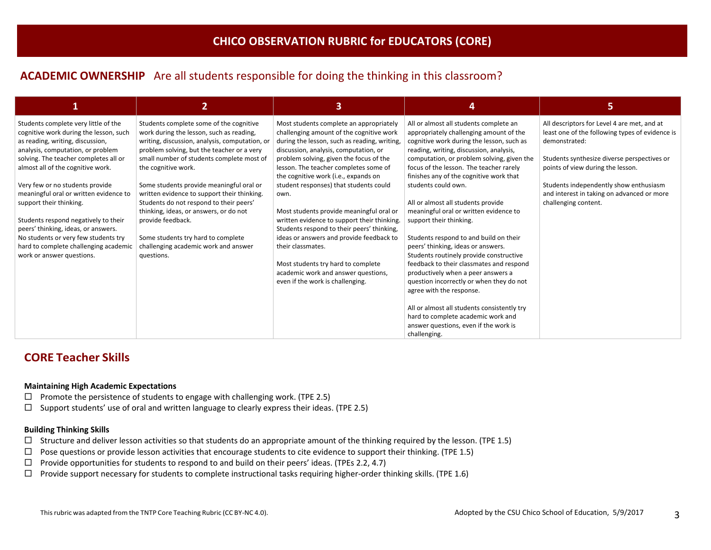# **ACADEMIC OWNERSHIP** Are all students responsible for doing the thinking in this classroom?

| 1                                                                                                                                                       | 2                                                                                                                                                                                   | 3                                                                                                                                                                            | 4                                                                                                                                                                         | 5.                                                                                                              |
|---------------------------------------------------------------------------------------------------------------------------------------------------------|-------------------------------------------------------------------------------------------------------------------------------------------------------------------------------------|------------------------------------------------------------------------------------------------------------------------------------------------------------------------------|---------------------------------------------------------------------------------------------------------------------------------------------------------------------------|-----------------------------------------------------------------------------------------------------------------|
| Students complete very little of the<br>cognitive work during the lesson, such<br>as reading, writing, discussion,<br>analysis, computation, or problem | Students complete some of the cognitive<br>work during the lesson, such as reading,<br>writing, discussion, analysis, computation, or<br>problem solving, but the teacher or a very | Most students complete an appropriately<br>challenging amount of the cognitive work<br>during the lesson, such as reading, writing,<br>discussion, analysis, computation, or | All or almost all students complete an<br>appropriately challenging amount of the<br>cognitive work during the lesson, such as<br>reading, writing, discussion, analysis, | All descriptors for Level 4 are met, and at<br>least one of the following types of evidence is<br>demonstrated: |
| solving. The teacher completes all or<br>almost all of the cognitive work.                                                                              | small number of students complete most of<br>the cognitive work.                                                                                                                    | problem solving, given the focus of the<br>lesson. The teacher completes some of<br>the cognitive work (i.e., expands on                                                     | computation, or problem solving, given the<br>focus of the lesson. The teacher rarely<br>finishes any of the cognitive work that                                          | Students synthesize diverse perspectives or<br>points of view during the lesson.                                |
| Very few or no students provide<br>meaningful oral or written evidence to                                                                               | Some students provide meaningful oral or<br>written evidence to support their thinking.                                                                                             | student responses) that students could<br>own.                                                                                                                               | students could own.                                                                                                                                                       | Students independently show enthusiasm<br>and interest in taking on advanced or more                            |
| support their thinking.<br>Students respond negatively to their                                                                                         | Students do not respond to their peers'<br>thinking, ideas, or answers, or do not<br>provide feedback.                                                                              | Most students provide meaningful oral or<br>written evidence to support their thinking.                                                                                      | All or almost all students provide<br>meaningful oral or written evidence to<br>support their thinking.                                                                   | challenging content.                                                                                            |
| peers' thinking, ideas, or answers.<br>No students or very few students try                                                                             | Some students try hard to complete                                                                                                                                                  | Students respond to their peers' thinking,<br>ideas or answers and provide feedback to                                                                                       | Students respond to and build on their                                                                                                                                    |                                                                                                                 |
| hard to complete challenging academic<br>work or answer questions.                                                                                      | challenging academic work and answer<br>questions.                                                                                                                                  | their classmates.<br>Most students try hard to complete                                                                                                                      | peers' thinking, ideas or answers.<br>Students routinely provide constructive<br>feedback to their classmates and respond                                                 |                                                                                                                 |
|                                                                                                                                                         |                                                                                                                                                                                     | academic work and answer questions,<br>even if the work is challenging.                                                                                                      | productively when a peer answers a<br>question incorrectly or when they do not<br>agree with the response.                                                                |                                                                                                                 |
|                                                                                                                                                         |                                                                                                                                                                                     |                                                                                                                                                                              | All or almost all students consistently try<br>hard to complete academic work and                                                                                         |                                                                                                                 |
|                                                                                                                                                         |                                                                                                                                                                                     |                                                                                                                                                                              | answer questions, even if the work is<br>challenging.                                                                                                                     |                                                                                                                 |

## **CORE Teacher Skills**

### **Maintaining High Academic Expectations**

- $\square$  Promote the persistence of students to engage with challenging work. (TPE 2.5)
- $\square$  Support students' use of oral and written language to clearly express their ideas. (TPE 2.5)

### **Building Thinking Skills**

- $\Box$  Structure and deliver lesson activities so that students do an appropriate amount of the thinking required by the lesson. (TPE 1.5)
- $\Box$  Pose questions or provide lesson activities that encourage students to cite evidence to support their thinking. (TPE 1.5)
- $\Box$  Provide opportunities for students to respond to and build on their peers' ideas. (TPEs 2.2, 4.7)
- $\Box$  Provide support necessary for students to complete instructional tasks requiring higher-order thinking skills. (TPE 1.6)